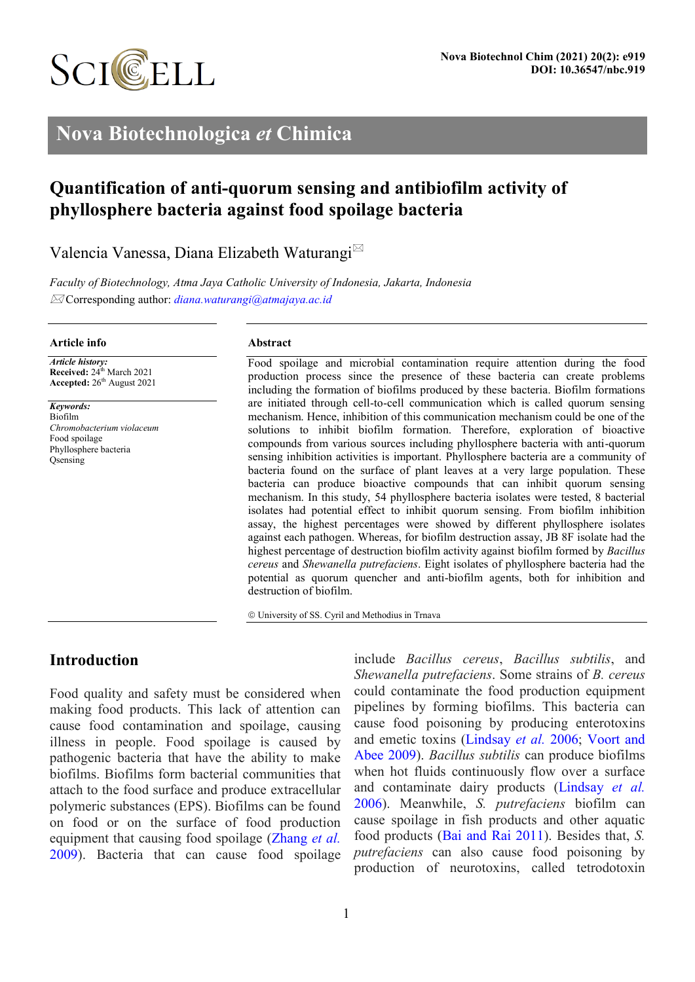

# **Nova Biotechnologica** *et* **Chimica**

# **Quantification of anti-quorum sensing and antibiofilm activity of phyllosphere bacteria against food spoilage bacteria**

Valencia Vanessa, Diana Elizabeth Waturangi

*Faculty of Biotechnology, Atma Jaya Catholic University of Indonesia, Jakarta, Indonesia* Corresponding author: *[diana.waturangi@atmajaya.ac.id](mailto:diana.waturangi@atmajaya.ac.id)*

#### **Article info**

*Article history:* **Received:** 24<sup>th</sup> March 2021 **Accepted:** 26 th August 2021

*Keywords:* Biofilm *Chromobacterium violaceum* Food spoilage Phyllosphere bacteria Qsensing

#### **Abstract**

Food spoilage and microbial contamination require attention during the food production process since the presence of these bacteria can create problems including the formation of biofilms produced by these bacteria. Biofilm formations are initiated through cell-to-cell communication which is called quorum sensing mechanism. Hence, inhibition of this communication mechanism could be one of the solutions to inhibit biofilm formation. Therefore, exploration of bioactive compounds from various sources including phyllosphere bacteria with anti-quorum sensing inhibition activities is important. Phyllosphere bacteria are a community of bacteria found on the surface of plant leaves at a very large population. These bacteria can produce bioactive compounds that can inhibit quorum sensing mechanism. In this study, 54 phyllosphere bacteria isolates were tested, 8 bacterial isolates had potential effect to inhibit quorum sensing. From biofilm inhibition assay, the highest percentages were showed by different phyllosphere isolates against each pathogen. Whereas, for biofilm destruction assay, JB 8F isolate had the highest percentage of destruction biofilm activity against biofilm formed by *Bacillus cereus* and *Shewanella putrefaciens*. Eight isolates of phyllosphere bacteria had the potential as quorum quencher and anti-biofilm agents, both for inhibition and destruction of biofilm.

University of SS. Cyril and Methodius in Trnava

## **Introduction**

Food quality and safety must be considered when making food products. This lack of attention can cause food contamination and spoilage, causing illness in people. Food spoilage is caused by pathogenic bacteria that have the ability to make biofilms. Biofilms form bacterial communities that attach to the food surface and produce extracellular polymeric substances (EPS). Biofilms can be found on food or on the surface of food production equipment that causing food spoilage [\(Zhang](#page-7-0) *et al.* [2009\)](#page-7-0). Bacteria that can cause food spoilage

include *Bacillus cereus*, *Bacillus subtilis*, and *Shewanella putrefaciens*. Some strains of *B. cereus* could contaminate the food production equipment pipelines by forming biofilms. This bacteria can cause food poisoning by producing enterotoxins and emetic toxins [\(Lindsay](#page-6-0) *et al.* 2006; [Voort](#page-7-1) and [Abee 2009\)](#page-7-1). *Bacillus subtilis* can produce biofilms when hot fluids continuously flow over a surface and contaminate dairy products [\(Lindsay](#page-6-0) *et al.* [2006\)](#page-6-0). Meanwhile, *S. putrefaciens* biofilm can cause spoilage in fish products and other aquatic food products (Bai and [Rai 2011\)](#page-6-1). Besides that, *S. putrefaciens* can also cause food poisoning by production of neurotoxins, called tetrodotoxin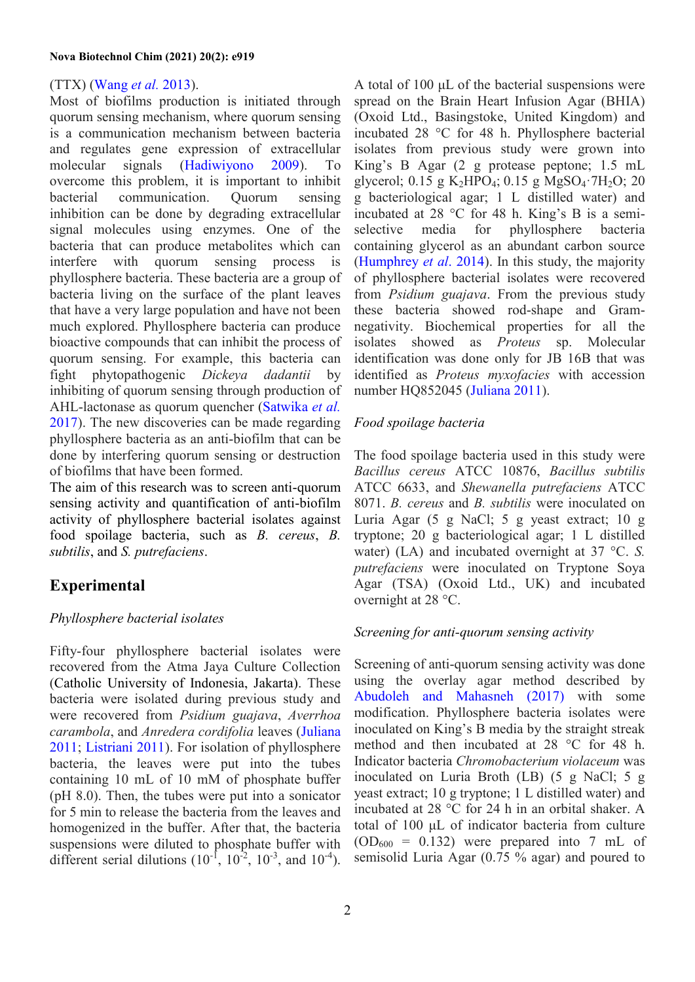## (TTX) [\(Wang](#page-7-2) *et al.* 2013).

Most of biofilms production is initiated through quorum sensing mechanism, where quorum sensing is a communication mechanism between bacteria and regulates gene expression of extracellular molecular signals [\(Hadiwiyono 2009\)](#page-6-2). To overcome this problem, it is important to inhibit bacterial communication. Quorum sensing inhibition can be done by degrading extracellular signal molecules using enzymes. One of the bacteria that can produce metabolites which can interfere with quorum sensing process is phyllosphere bacteria. These bacteria are a group of bacteria living on the surface of the plant leaves that have a very large population and have not been much explored. Phyllosphere bacteria can produce bioactive compounds that can inhibit the process of quorum sensing. For example, this bacteria can fight phytopathogenic *Dickeya dadantii* by inhibiting of quorum sensing through production of AHL-lactonase as quorum quencher [\(Satwika](#page-7-3) *et al.* [2017\)](#page-7-3). The new discoveries can be made regarding phyllosphere bacteria as an anti-biofilm that can be done by interfering quorum sensing or destruction of biofilms that have been formed.

The aim of this research was to screen anti-quorum sensing activity and quantification of anti-biofilm activity of phyllosphere bacterial isolates against food spoilage bacteria, such as *B. cereus*, *B. subtilis*, and *S. putrefaciens*.

## **Experimental**

## *Phyllosphere bacterial isolates*

Fifty-four phyllosphere bacterial isolates were recovered from the Atma Jaya Culture Collection (Catholic University of Indonesia, Jakarta). These bacteria were isolated during previous study and were recovered from *Psidium guajava*, *Averrhoa carambola*, and *Anredera cordifolia* leaves [\(Juliana](#page-6-3) [2011;](#page-6-3) [Listriani 2011\)](#page-6-4). For isolation of phyllosphere bacteria, the leaves were put into the tubes containing 10 mL of 10 mM of phosphate buffer (pH 8.0). Then, the tubes were put into a sonicator for 5 min to release the bacteria from the leaves and homogenized in the buffer. After that, the bacteria suspensions were diluted to phosphate buffer with different serial dilutions  $(10^{-1}, 10^{-2}, 10^{-3}, \text{ and } 10^{-4})$ .

A total of 100 μL of the bacterial suspensions were spread on the Brain Heart Infusion Agar (BHIA) (Oxoid Ltd., Basingstoke, United Kingdom) and incubated 28 °C for 48 h. Phyllosphere bacterial isolates from previous study were grown into King's B Agar (2 g protease peptone; 1.5 mL glycerol; 0.15 g K<sub>2</sub>HPO<sub>4</sub>; 0.15 g MgSO<sub>4</sub>·7H<sub>2</sub>O; 20 g bacteriological agar; 1 L distilled water) and incubated at 28 °C for 48 h. King's B is a semiselective media for phyllosphere bacteria containing glycerol as an abundant carbon source [\(Humphrey](#page-6-5) *et al*. 2014). In this study, the majority of phyllosphere bacterial isolates were recovered from *Psidium guajava*. From the previous study these bacteria showed rod-shape and Gramnegativity. Biochemical properties for all the isolates showed as *Proteus* sp. Molecular identification was done only for JB 16B that was identified as *Proteus myxofacies* with accession number HQ852045 [\(Juliana 2011\)](#page-6-3).

## *Food spoilage bacteria*

The food spoilage bacteria used in this study were *Bacillus cereus* ATCC 10876, *Bacillus subtilis* ATCC 6633, and *Shewanella putrefaciens* ATCC 8071. *B. cereus* and *B. subtilis* were inoculated on Luria Agar (5 g NaCl; 5 g yeast extract; 10 g tryptone; 20 g bacteriological agar; 1 L distilled water) (LA) and incubated overnight at 37 °C. *S. putrefaciens* were inoculated on Tryptone Soya Agar (TSA) (Oxoid Ltd., UK) and incubated overnight at 28 °C.

### *Screening for anti-quorum sensing activity*

Screening of anti-quorum sensing activity was done using the overlay agar method described by [Abudoleh and Mahasneh \(2017\)](#page-6-6) with some modification. Phyllosphere bacteria isolates were inoculated on King's B media by the straight streak method and then incubated at 28 °C for 48 h. Indicator bacteria *Chromobacterium violaceum* was inoculated on Luria Broth (LB) (5 g NaCl; 5 g yeast extract; 10 g tryptone; 1 L distilled water) and incubated at 28 °C for 24 h in an orbital shaker. A total of 100 μL of indicator bacteria from culture  $(OD<sub>600</sub> = 0.132)$  were prepared into 7 mL of semisolid Luria Agar (0.75 % agar) and poured to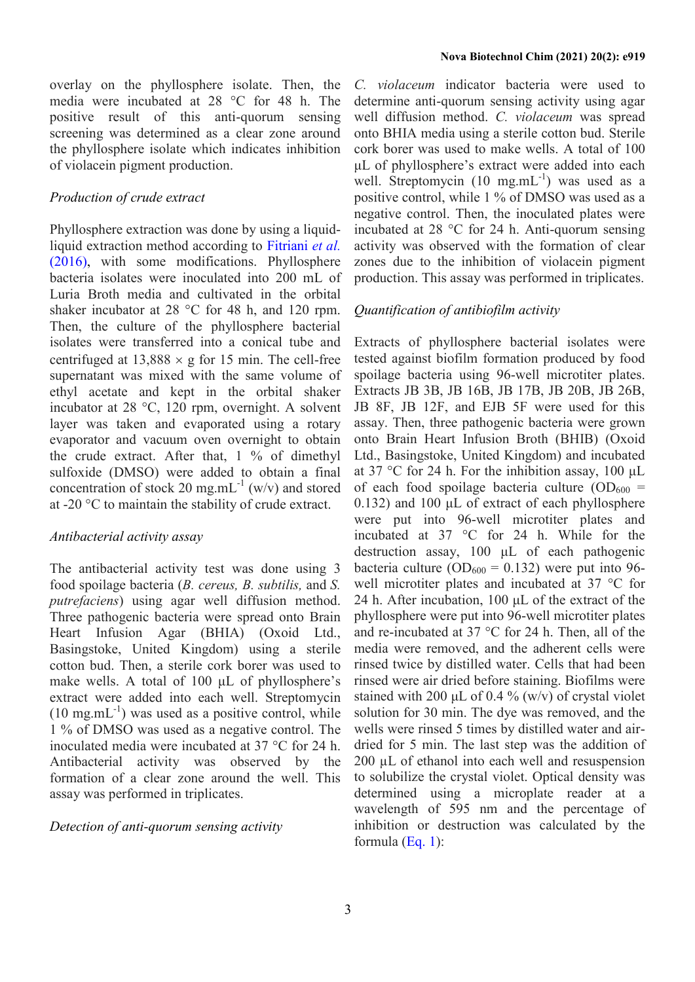overlay on the phyllosphere isolate. Then, the media were incubated at 28 °C for 48 h. The positive result of this anti-quorum sensing screening was determined as a clear zone around the phyllosphere isolate which indicates inhibition of violacein pigment production.

#### *Production of crude extract*

Phyllosphere extraction was done by using a liquidliquid extraction method according to [Fitriani](#page-6-7) *et al.* [\(2016\),](#page-6-7) with some modifications. Phyllosphere bacteria isolates were inoculated into 200 mL of Luria Broth media and cultivated in the orbital shaker incubator at 28 °C for 48 h, and 120 rpm. Then, the culture of the phyllosphere bacterial isolates were transferred into a conical tube and centrifuged at  $13,888 \times g$  for 15 min. The cell-free supernatant was mixed with the same volume of ethyl acetate and kept in the orbital shaker incubator at 28 °C, 120 rpm, overnight. A solvent layer was taken and evaporated using a rotary evaporator and vacuum oven overnight to obtain the crude extract. After that, 1 % of dimethyl sulfoxide (DMSO) were added to obtain a final concentration of stock 20 mg.mL<sup>-1</sup> (w/v) and stored at -20 °C to maintain the stability of crude extract.

### *Antibacterial activity assay*

The antibacterial activity test was done using 3 food spoilage bacteria (*B. cereus, B. subtilis,* and *S. putrefaciens*) using agar well diffusion method. Three pathogenic bacteria were spread onto Brain Heart Infusion Agar (BHIA) (Oxoid Ltd., Basingstoke, United Kingdom) using a sterile cotton bud. Then, a sterile cork borer was used to make wells. A total of 100 μL of phyllosphere's extract were added into each well. Streptomycin  $(10 \text{ mg.mL}^{-1})$  was used as a positive control, while 1 % of DMSO was used as a negative control. The inoculated media were incubated at 37 °C for 24 h. Antibacterial activity was observed by the formation of a clear zone around the well. This assay was performed in triplicates.

#### *Detection of anti-quorum sensing activity*

*C. violaceum* indicator bacteria were used to determine anti-quorum sensing activity using agar well diffusion method. *C. violaceum* was spread onto BHIA media using a sterile cotton bud. Sterile cork borer was used to make wells. A total of 100 μL of phyllosphere's extract were added into each well. Streptomycin  $(10 \text{ mg.mL}^{-1})$  was used as a positive control, while 1 % of DMSO was used as a negative control. Then, the inoculated plates were incubated at 28 °C for 24 h. Anti-quorum sensing activity was observed with the formation of clear zones due to the inhibition of violacein pigment production. This assay was performed in triplicates.

## *Quantification of antibiofilm activity*

Extracts of phyllosphere bacterial isolates were tested against biofilm formation produced by food spoilage bacteria using 96-well microtiter plates. Extracts JB 3B, JB 16B, JB 17B, JB 20B, JB 26B, JB 8F, JB 12F, and EJB 5F were used for this assay. Then, three pathogenic bacteria were grown onto Brain Heart Infusion Broth (BHIB) (Oxoid Ltd., Basingstoke, United Kingdom) and incubated at 37 °C for 24 h. For the inhibition assay, 100 μL of each food spoilage bacteria culture  $OD_{600} =$ 0.132) and 100 μL of extract of each phyllosphere were put into 96-well microtiter plates and incubated at 37 °C for 24 h. While for the destruction assay, 100 μL of each pathogenic bacteria culture ( $OD_{600} = 0.132$ ) were put into 96well microtiter plates and incubated at 37 °C for 24 h. After incubation, 100 μL of the extract of the phyllosphere were put into 96-well microtiter plates and re-incubated at 37 °C for 24 h. Then, all of the media were removed, and the adherent cells were rinsed twice by distilled water. Cells that had been rinsed were air dried before staining. Biofilms were stained with 200  $\mu$ L of 0.4 % (w/v) of crystal violet solution for 30 min. The dye was removed, and the wells were rinsed 5 times by distilled water and airdried for 5 min. The last step was the addition of 200 µL of ethanol into each well and resuspension to solubilize the crystal violet. Optical density was determined using a microplate reader at a wavelength of 595 nm and the percentage of inhibition or destruction was calculated by the formula  $(Eq. 1)$ :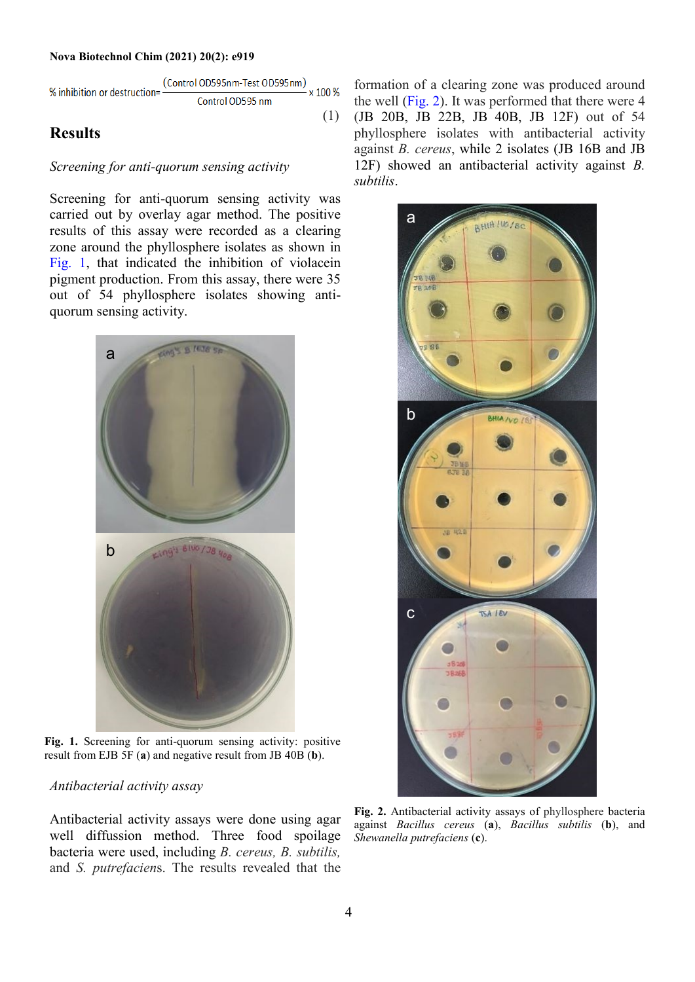#### **Nova Biotechnol Chim (2021) 20(2): e919**

<span id="page-3-0"></span>% inhibition or destruction=
$$
\frac{\text{(Control ODS95nm-Test ODS95nm)}}{\text{Control ODS95 nm}} \times 100\%
$$
\n(1)

## **Results**

#### *Screening for anti-quorum sensing activity*

Screening for anti-quorum sensing activity was carried out by overlay agar method. The positive results of this assay were recorded as a clearing zone around the phyllosphere isolates as shown in [Fig. 1,](#page-3-1) that indicated the inhibition of violacein pigment production. From this assay, there were 35 out of 54 phyllosphere isolates showing antiquorum sensing activity.



**Fig. 1.** Screening for anti-quorum sensing activity: positive result from EJB 5F (**a**) and negative result from JB 40B (**b**).

#### <span id="page-3-1"></span>*Antibacterial activity assay*

Antibacterial activity assays were done using agar well diffussion method. Three food spoilage bacteria were used, including *B. cereus, B. subtilis,*  and *S. putrefacien*s. The results revealed that the

formation of a clearing zone was produced around the well [\(Fig. 2\)](#page-3-2). It was performed that there were 4 (JB 20B, JB 22B, JB 40B, JB 12F) out of 54 phyllosphere isolates with antibacterial activity against *B. cereus*, while 2 isolates (JB 16B and JB 12F) showed an antibacterial activity against *B. subtilis*.



<span id="page-3-2"></span>**Fig. 2.** Antibacterial activity assays of phyllosphere bacteria against *Bacillus cereus* (**a**), *Bacillus subtilis* (**b**), and *Shewanella putrefaciens* (**c**).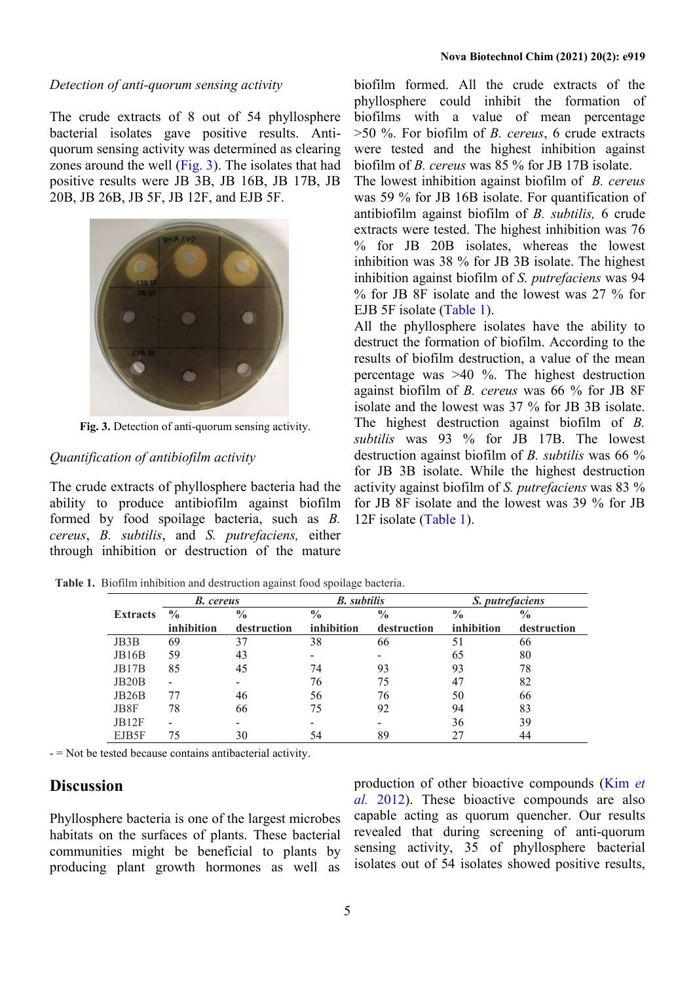#### *Detection of anti-quorum sensing activity*

The crude extracts of 8 out of 54 phyllosphere bacterial isolates gave positive results. Antiquorum sensing activity was determined as clearing zones around the well [\(Fig. 3\)](#page-4-0). The isolates that had positive results were JB 3B, JB 16B, JB 17B, JB 20B, JB 26B, JB 5F, JB 12F, and EJB 5F.



**Fig. 3.** Detection of anti-quorum sensing activity.

#### <span id="page-4-0"></span>*Quantification of antibiofilm activity*

The crude extracts of phyllosphere bacteria had the ability to produce antibiofilm against biofilm formed by food spoilage bacteria, such as *B. cereus*, *B. subtilis*, and *S. putrefaciens,* either through inhibition or destruction of the mature

biofilm formed. All the crude extracts of the phyllosphere could inhibit the formation of biofilms with a value of mean percentage >50 %. For biofilm of *B. cereus*, 6 crude extracts were tested and the highest inhibition against biofilm of *B. cereus* was 85 % for JB 17B isolate.

The lowest inhibition against biofilm of *B. cereus* was 59 % for JB 16B isolate. For quantification of antibiofilm against biofilm of *B. subtilis,* 6 crude extracts were tested. The highest inhibition was 76 % for JB 20B isolates, whereas the lowest inhibition was 38 % for JB 3B isolate. The highest inhibition against biofilm of *S. putrefaciens* was 94 % for JB 8F isolate and the lowest was 27 % for EJB 5F isolate [\(Table 1\)](#page-4-1).

All the phyllosphere isolates have the ability to destruct the formation of biofilm. According to the results of biofilm destruction, a value of the mean percentage was >40 %. The highest destruction against biofilm of *B. cereus* was 66 % for JB 8F isolate and the lowest was 37 % for JB 3B isolate. The highest destruction against biofilm of *B. subtilis* was 93 % for JB 17B. The lowest destruction against biofilm of *B. subtilis* was 66 % for JB 3B isolate. While the highest destruction activity against biofilm of *S. putrefaciens* was 83 % for JB 8F isolate and the lowest was 39 % for JB 12F isolate [\(Table 1\)](#page-4-1).

<span id="page-4-1"></span>**Table 1.** Biofilm inhibition and destruction against food spoilage bacteria.

|                 | <b>B.</b> cereus             |               | <b>B.</b> subtilis |                          | S. putrefaciens |               |
|-----------------|------------------------------|---------------|--------------------|--------------------------|-----------------|---------------|
| <b>Extracts</b> | $\frac{0}{0}$                | $\frac{0}{0}$ | $\frac{0}{0}$      | $\frac{0}{0}$            | $\frac{0}{0}$   | $\frac{0}{0}$ |
|                 | inhibition                   | destruction   | inhibition         | destruction              | inhibition      | destruction   |
| JB3B            | 69                           | 37            | 38                 | 66                       | 51              | 66            |
| <b>JB16B</b>    | 59                           | 43            |                    | -                        | 65              | 80            |
| JB17B           | 85                           | 45            | 74                 | 93                       | 93              | 78            |
| JB20B           | $\qquad \qquad \blacksquare$ |               | 76                 | 75                       | 47              | 82            |
| JB26B           | 77                           | 46            | 56                 | 76                       | 50              | 66            |
| JB8F            | 78                           | 66            | 75                 | 92                       | 94              | 83            |
| JB12F           | ۰                            |               |                    | $\overline{\phantom{0}}$ | 36              | 39            |
| EJB5F           | 75                           | 30            | 54                 | 89                       | 27              | 44            |

- = Not be tested because contains antibacterial activity.

## **Discussion**

Phyllosphere bacteria is one of the largest microbes habitats on the surfaces of plants. These bacterial communities might be beneficial to plants by producing plant growth hormones as well as

production of other bioactive compounds [\(Kim](#page-6-8) *et al.* [2012\)](#page-6-8). These bioactive compounds are also capable acting as quorum quencher. Our results revealed that during screening of anti-quorum sensing activity, 35 of phyllosphere bacterial isolates out of 54 isolates showed positive results,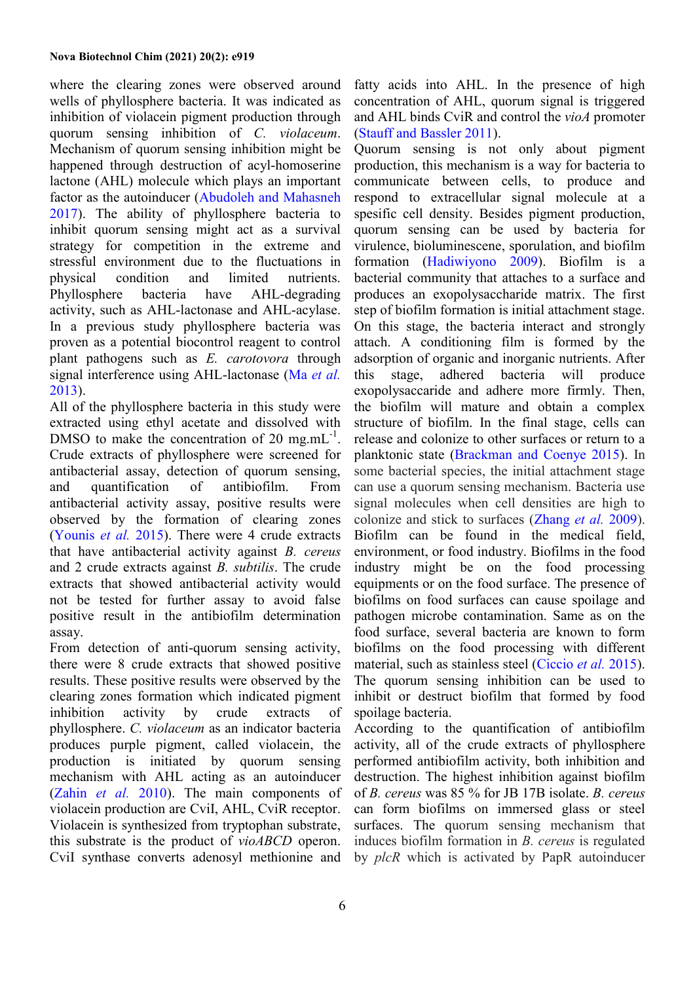where the clearing zones were observed around wells of phyllosphere bacteria. It was indicated as inhibition of violacein pigment production through quorum sensing inhibition of *C. violaceum*. Mechanism of quorum sensing inhibition might be happened through destruction of acyl-homoserine lactone (AHL) molecule which plays an important factor as the autoinducer [\(Abudoleh and](#page-6-6) Mahasneh [2017\)](#page-6-6). The ability of phyllosphere bacteria to inhibit quorum sensing might act as a survival strategy for competition in the extreme and stressful environment due to the fluctuations in physical condition and limited nutrients. Phyllosphere bacteria have AHL-degrading activity, such as AHL-lactonase and AHL-acylase. In a previous study phyllosphere bacteria was proven as a potential biocontrol reagent to control plant pathogens such as *E. carotovora* through signal interference using AHL-lactonase (Ma *[et al.](#page-7-4)* [2013\)](#page-7-4).

All of the phyllosphere bacteria in this study were extracted using ethyl acetate and dissolved with DMSO to make the concentration of 20 mg.m $L^{-1}$ . Crude extracts of phyllosphere were screened for antibacterial assay, detection of quorum sensing, and quantification of antibiofilm. From antibacterial activity assay, positive results were observed by the formation of clearing zones [\(Younis](#page-7-5) *et al.* 2015). There were 4 crude extracts that have antibacterial activity against *B. cereus* and 2 crude extracts against *B. subtilis*. The crude extracts that showed antibacterial activity would not be tested for further assay to avoid false positive result in the antibiofilm determination assay.

From detection of anti-quorum sensing activity, there were 8 crude extracts that showed positive results. These positive results were observed by the clearing zones formation which indicated pigment inhibition activity by crude extracts of phyllosphere. *C. violaceum* as an indicator bacteria produces purple pigment, called violacein, the production is initiated by quorum sensing mechanism with AHL acting as an autoinducer [\(Zahin](#page-7-6) *et al.* 2010). The main components of violacein production are CviI, AHL, CviR receptor. Violacein is synthesized from tryptophan substrate, this substrate is the product of *vioABCD* operon. CviI synthase converts adenosyl methionine and

fatty acids into AHL. In the presence of high concentration of AHL, quorum signal is triggered and AHL binds CviR and control the *vioA* promoter (Stauff and [Bassler 2011\)](#page-7-7).

Quorum sensing is not only about pigment production, this mechanism is a way for bacteria to communicate between cells, to produce and respond to extracellular signal molecule at a spesific cell density. Besides pigment production, quorum sensing can be used by bacteria for virulence, bioluminescene, sporulation, and biofilm formation [\(Hadiwiyono 2009\)](#page-6-2). Biofilm is a bacterial community that attaches to a surface and produces an exopolysaccharide matrix. The first step of biofilm formation is initial attachment stage. On this stage, the bacteria interact and strongly attach. A conditioning film is formed by the adsorption of organic and inorganic nutrients. After this stage, adhered bacteria will produce exopolysaccaride and adhere more firmly. Then, the biofilm will mature and obtain a complex structure of biofilm. In the final stage, cells can release and colonize to other surfaces or return to a planktonic state [\(Brackman and](#page-6-9) Coenye 2015). In some bacterial species, the initial attachment stage can use a quorum sensing mechanism. Bacteria use signal molecules when cell densities are high to colonize and stick to surfaces [\(Zhang](#page-7-0) *et al.* 2009). Biofilm can be found in the medical field, environment, or food industry. Biofilms in the food industry might be on the food processing equipments or on the food surface. The presence of biofilms on food surfaces can cause spoilage and pathogen microbe contamination. Same as on the food surface, several bacteria are known to form biofilms on the food processing with different material, such as stainless steel [\(Ciccio](#page-6-10) *et al.* 2015). The quorum sensing inhibition can be used to inhibit or destruct biofilm that formed by food spoilage bacteria.

According to the quantification of antibiofilm activity, all of the crude extracts of phyllosphere performed antibiofilm activity, both inhibition and destruction. The highest inhibition against biofilm of *B. cereus* was 85 % for JB 17B isolate. *B. cereus* can form biofilms on immersed glass or steel surfaces. The quorum sensing mechanism that induces biofilm formation in *B. cereus* is regulated by *plcR* which is activated by PapR autoinducer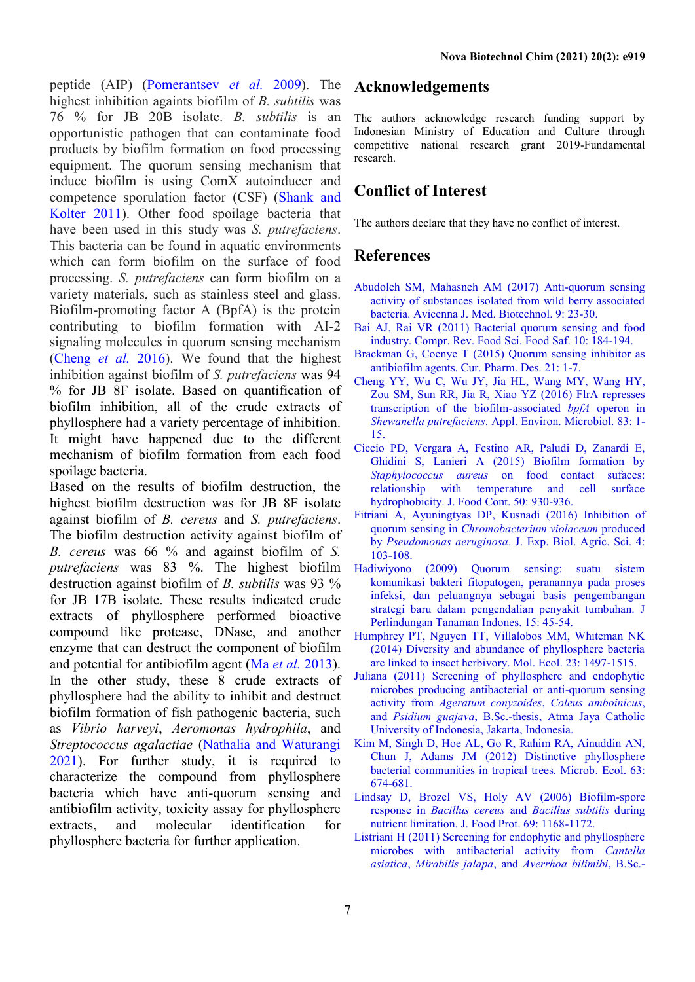peptide (AIP) [\(Pomerantsev](#page-7-8) *et al.* 2009). The highest inhibition againts biofilm of *B. subtilis* was 76 % for JB 20B isolate. *B. subtilis* is an opportunistic pathogen that can contaminate food products by biofilm formation on food processing equipment. The quorum sensing mechanism that induce biofilm is using ComX autoinducer and competence sporulation factor (CSF) [\(Shank and](#page-7-9) [Kolter 2011\)](#page-7-9). Other food spoilage bacteria that have been used in this study was *S. putrefaciens*. This bacteria can be found in aquatic environments which can form biofilm on the surface of food processing. *S. putrefaciens* can form biofilm on a variety materials, such as stainless steel and glass. Biofilm-promoting factor A (BpfA) is the protein contributing to biofilm formation with AI-2 signaling molecules in quorum sensing mechanism [\(Cheng](#page-6-11) *et al.* 2016). We found that the highest inhibition against biofilm of *S. putrefaciens* was 94 % for JB 8F isolate. Based on quantification of biofilm inhibition, all of the crude extracts of phyllosphere had a variety percentage of inhibition. It might have happened due to the different mechanism of biofilm formation from each food spoilage bacteria.

Based on the results of biofilm destruction, the highest biofilm destruction was for JB 8F isolate against biofilm of *B. cereus* and *S. putrefaciens*. The biofilm destruction activity against biofilm of *B. cereus* was 66 % and against biofilm of *S. putrefaciens* was 83 %. The highest biofilm destruction against biofilm of *B. subtilis* was 93 % for JB 17B isolate. These results indicated crude extracts of phyllosphere performed bioactive compound like protease, DNase, and another enzyme that can destruct the component of biofilm and potential for antibiofilm agent (Ma *et al.* [2013\)](#page-7-4). In the other study, these 8 crude extracts of phyllosphere had the ability to inhibit and destruct biofilm formation of fish pathogenic bacteria, such as *Vibrio harveyi*, *Aeromonas hydrophila*, and *Streptococcus agalactiae* [\(Nathalia and Waturangi](#page-7-10) [2021\)](#page-7-10). For further study, it is required to characterize the compound from phyllosphere bacteria which have anti-quorum sensing and antibiofilm activity, toxicity assay for phyllosphere extracts, and molecular identification for phyllosphere bacteria for further application.

## **Acknowledgements**

The authors acknowledge research funding support by Indonesian Ministry of Education and Culture through competitive national research grant 2019-Fundamental research.

## **Conflict of Interest**

The authors declare that they have no conflict of interest.

### **References**

- <span id="page-6-6"></span>Abudoleh SM, Mahasneh AM (2017) Anti-quorum sensing activity of substances isolated from wild berry associated bacteria. Avicenna J. Med. Biotechnol. 9: 23-30.
- <span id="page-6-1"></span>Bai AJ, Rai VR (2011) Bacterial quorum sensing and food industry. Compr. Rev. Food Sci. Food Saf. 10: 184-194.
- <span id="page-6-9"></span>Brackman G, Coenye T (2015) Quorum sensing inhibitor as antibiofilm agents. Cur. Pharm. Des. 21: 1-7.
- <span id="page-6-11"></span>Cheng YY, Wu C, Wu JY, Jia HL, Wang MY, Wang HY, Zou SM, Sun RR, Jia R, Xiao YZ (2016) FlrA represses transcription of the biofilm-associated *bpfA* operon in *Shewanella putrefaciens*. Appl. Environ. Microbiol. 83: 1- 15.
- <span id="page-6-10"></span>Ciccio PD, Vergara A, Festino AR, Paludi D, Zanardi E, Ghidini S, Lanieri A (2015) Biofilm formation by *Staphylococcus aureus* on food contact sufaces: relationship with temperature and cell surface hydrophobicity. J. Food Cont. 50: 930-936.
- <span id="page-6-7"></span>Fitriani A, Ayuningtyas DP, Kusnadi (2016) Inhibition of quorum sensing in *Chromobacterium violaceum* produced by *Pseudomonas aeruginosa*. J. Exp. Biol. Agric. Sci. 4: 103-108.
- <span id="page-6-2"></span>Hadiwiyono (2009) Quorum sensing: suatu sistem komunikasi bakteri fitopatogen, peranannya pada proses infeksi, dan peluangnya sebagai basis pengembangan strategi baru dalam pengendalian penyakit tumbuhan. J Perlindungan Tanaman Indones. 15: 45-54.
- <span id="page-6-5"></span>Humphrey PT, Nguyen TT, Villalobos MM, Whiteman NK (2014) Diversity and abundance of phyllosphere bacteria are linked to insect herbivory. Mol. Ecol. 23: 1497-1515.
- <span id="page-6-3"></span>Juliana (2011) Screening of phyllosphere and endophytic microbes producing antibacterial or anti-quorum sensing activity from *Ageratum conyzoides*, *Coleus amboinicus*, and *Psidium guajava*, B.Sc.-thesis, Atma Jaya Catholic University of Indonesia, Jakarta, Indonesia.
- <span id="page-6-8"></span>Kim M, Singh D, Hoe AL, Go R, Rahim RA, Ainuddin AN, Chun J, Adams JM (2012) Distinctive phyllosphere bacterial communities in tropical trees. Microb. Ecol. 63: 674-681.
- <span id="page-6-0"></span>Lindsay D, Brozel VS, Holy AV (2006) Biofilm-spore response in *Bacillus cereus* and *Bacillus subtilis* during nutrient limitation. J. Food Prot. 69: 1168-1172.
- <span id="page-6-4"></span>Listriani H (2011) Screening for endophytic and phyllosphere microbes with antibacterial activity from *Cantella asiatica*, *Mirabilis jalapa*, and *Averrhoa bilimibi*, B.Sc.-